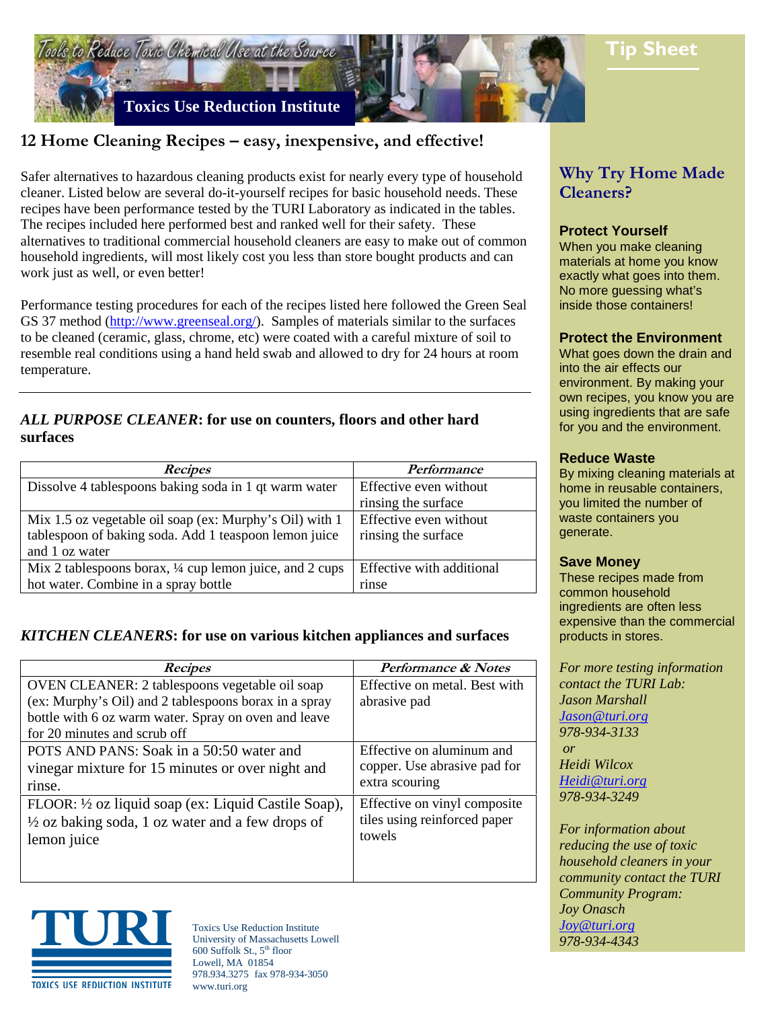

# **12 Home Cleaning Recipes – easy, inexpensive, and effective!**

Safer alternatives to hazardous cleaning products exist for nearly every type of household cleaner. Listed below are several do-it-yourself recipes for basic household needs. These recipes have been performance tested by the TURI Laboratory as indicated in the tables. The recipes included here performed best and ranked well for their safety. These alternatives to traditional commercial household cleaners are easy to make out of common household ingredients, will most likely cost you less than store bought products and can work just as well, or even better!

Performance testing procedures for each of the recipes listed here followed the Green Seal GS 37 method (http://www.greenseal.org/). Samples of materials similar to the surfaces to be cleaned (ceramic, glass, chrome, etc) were coated with a careful mixture of soil to resemble real conditions using a hand held swab and allowed to dry for 24 hours at room temperature.

### *ALL PURPOSE CLEANER***: for use on counters, floors and other hard surfaces**

| <b>Recipes</b>                                           | Performance               |
|----------------------------------------------------------|---------------------------|
| Dissolve 4 tablespoons baking soda in 1 qt warm water    | Effective even without    |
|                                                          | rinsing the surface       |
| Mix 1.5 oz vegetable oil soap (ex: Murphy's Oil) with 1  | Effective even without    |
| tablespoon of baking soda. Add 1 teaspoon lemon juice    | rinsing the surface       |
| and 1 oz water                                           |                           |
| Mix 2 tablespoons borax, 1/4 cup lemon juice, and 2 cups | Effective with additional |
| hot water. Combine in a spray bottle                     | rinse                     |

## *KITCHEN CLEANERS***: for use on various kitchen appliances and surfaces**

| <b>Recipes</b>                                              | <b>Performance &amp; Notes</b> |
|-------------------------------------------------------------|--------------------------------|
| OVEN CLEANER: 2 tablespoons vegetable oil soap              | Effective on metal. Best with  |
| (ex: Murphy's Oil) and 2 tablespoons borax in a spray       | abrasive pad                   |
| bottle with 6 oz warm water. Spray on oven and leave        |                                |
| for 20 minutes and scrub off                                |                                |
| POTS AND PANS: Soak in a 50:50 water and                    | Effective on aluminum and      |
| vinegar mixture for 15 minutes or over night and            | copper. Use abrasive pad for   |
| rinse.                                                      | extra scouring                 |
| FLOOR: 1/2 oz liquid soap (ex: Liquid Castile Soap),        | Effective on vinyl composite   |
| $\frac{1}{2}$ oz baking soda, 1 oz water and a few drops of | tiles using reinforced paper   |
| lemon juice                                                 | towels                         |
|                                                             |                                |
|                                                             |                                |



Toxics Use Reduction Institute University of Massachusetts Lowell 600 Suffolk St.,  $5<sup>th</sup>$  floor Lowell, MA 01854 978.934.3275 fax 978-934-3050 www.turi.org

# **Why Try Home Made Cleaners?**

### **Protect Yourself**

When you make cleaning materials at home you know exactly what goes into them. No more guessing what's inside those containers!

#### **Protect the Environment**

What goes down the drain and into the air effects our environment. By making your own recipes, you know you are using ingredients that are safe for you and the environment.

#### **Reduce Waste**

By mixing cleaning materials at home in reusable containers, you limited the number of waste containers you generate.

#### **Save Money**

These recipes made from common household ingredients are often less expensive than the commercial products in stores.

*For more testing information contact the TURI Lab: Jason Marshall Jason@turi.org 978-934-3133 or Heidi Wilcox Heidi@turi.org 978-934-3249* 

*For information about reducing the use of toxic household cleaners in your community contact the TURI Community Program: Joy Onasch Joy@turi.org 978-934-4343*